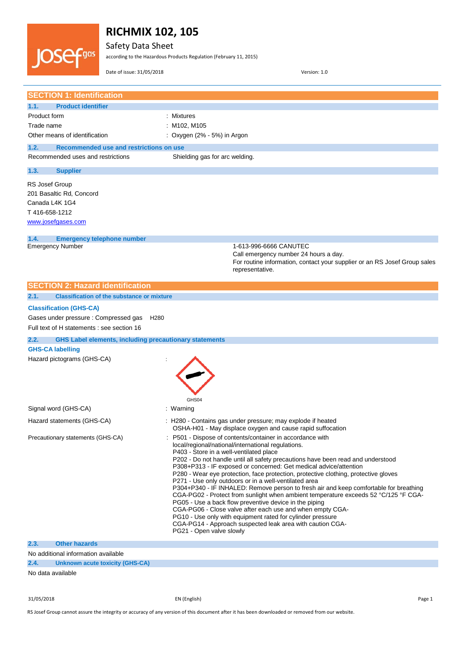

Safety Data Sheet

according to the Hazardous Products Regulation (February 11, 2015)

Date of issue: 31/05/2018 Version: 1.0

| <b>SECTION 1: Identification</b>                                               |                                                                                                                                                                                                                                                                                                                                                                                                                                                                                                                                                                                                                                                                                                                                                                                                                                                                                                                                  |
|--------------------------------------------------------------------------------|----------------------------------------------------------------------------------------------------------------------------------------------------------------------------------------------------------------------------------------------------------------------------------------------------------------------------------------------------------------------------------------------------------------------------------------------------------------------------------------------------------------------------------------------------------------------------------------------------------------------------------------------------------------------------------------------------------------------------------------------------------------------------------------------------------------------------------------------------------------------------------------------------------------------------------|
|                                                                                |                                                                                                                                                                                                                                                                                                                                                                                                                                                                                                                                                                                                                                                                                                                                                                                                                                                                                                                                  |
| 1.1.<br><b>Product identifier</b><br>Product form                              | : Mixtures                                                                                                                                                                                                                                                                                                                                                                                                                                                                                                                                                                                                                                                                                                                                                                                                                                                                                                                       |
| Trade name                                                                     | : M102, M105                                                                                                                                                                                                                                                                                                                                                                                                                                                                                                                                                                                                                                                                                                                                                                                                                                                                                                                     |
|                                                                                | : Oxygen $(2\% - 5\%)$ in Argon                                                                                                                                                                                                                                                                                                                                                                                                                                                                                                                                                                                                                                                                                                                                                                                                                                                                                                  |
| Other means of identification                                                  |                                                                                                                                                                                                                                                                                                                                                                                                                                                                                                                                                                                                                                                                                                                                                                                                                                                                                                                                  |
| 1.2.<br>Recommended use and restrictions on use                                |                                                                                                                                                                                                                                                                                                                                                                                                                                                                                                                                                                                                                                                                                                                                                                                                                                                                                                                                  |
| Recommended uses and restrictions                                              | Shielding gas for arc welding.                                                                                                                                                                                                                                                                                                                                                                                                                                                                                                                                                                                                                                                                                                                                                                                                                                                                                                   |
| 1.3.<br><b>Supplier</b>                                                        |                                                                                                                                                                                                                                                                                                                                                                                                                                                                                                                                                                                                                                                                                                                                                                                                                                                                                                                                  |
| RS Josef Group<br>201 Basaltic Rd, Concord<br>Canada L4K 1G4<br>T416-658-1212  |                                                                                                                                                                                                                                                                                                                                                                                                                                                                                                                                                                                                                                                                                                                                                                                                                                                                                                                                  |
| www.josefgases.com                                                             |                                                                                                                                                                                                                                                                                                                                                                                                                                                                                                                                                                                                                                                                                                                                                                                                                                                                                                                                  |
| 1.4.<br><b>Emergency telephone number</b>                                      |                                                                                                                                                                                                                                                                                                                                                                                                                                                                                                                                                                                                                                                                                                                                                                                                                                                                                                                                  |
| <b>Emergency Number</b>                                                        | 1-613-996-6666 CANUTEC<br>Call emergency number 24 hours a day.<br>For routine information, contact your supplier or an RS Josef Group sales<br>representative.                                                                                                                                                                                                                                                                                                                                                                                                                                                                                                                                                                                                                                                                                                                                                                  |
| <b>SECTION 2: Hazard identification</b>                                        |                                                                                                                                                                                                                                                                                                                                                                                                                                                                                                                                                                                                                                                                                                                                                                                                                                                                                                                                  |
| 2.1.<br><b>Classification of the substance or mixture</b>                      |                                                                                                                                                                                                                                                                                                                                                                                                                                                                                                                                                                                                                                                                                                                                                                                                                                                                                                                                  |
| <b>Classification (GHS-CA)</b>                                                 |                                                                                                                                                                                                                                                                                                                                                                                                                                                                                                                                                                                                                                                                                                                                                                                                                                                                                                                                  |
| Gases under pressure: Compressed gas<br>H <sub>280</sub>                       |                                                                                                                                                                                                                                                                                                                                                                                                                                                                                                                                                                                                                                                                                                                                                                                                                                                                                                                                  |
| Full text of H statements : see section 16                                     |                                                                                                                                                                                                                                                                                                                                                                                                                                                                                                                                                                                                                                                                                                                                                                                                                                                                                                                                  |
| <b>GHS Label elements, including precautionary statements</b><br>2.2.          |                                                                                                                                                                                                                                                                                                                                                                                                                                                                                                                                                                                                                                                                                                                                                                                                                                                                                                                                  |
| <b>GHS-CA labelling</b>                                                        |                                                                                                                                                                                                                                                                                                                                                                                                                                                                                                                                                                                                                                                                                                                                                                                                                                                                                                                                  |
| Hazard pictograms (GHS-CA)                                                     |                                                                                                                                                                                                                                                                                                                                                                                                                                                                                                                                                                                                                                                                                                                                                                                                                                                                                                                                  |
|                                                                                |                                                                                                                                                                                                                                                                                                                                                                                                                                                                                                                                                                                                                                                                                                                                                                                                                                                                                                                                  |
|                                                                                | GHS04                                                                                                                                                                                                                                                                                                                                                                                                                                                                                                                                                                                                                                                                                                                                                                                                                                                                                                                            |
| Signal word (GHS-CA)                                                           | : Warning                                                                                                                                                                                                                                                                                                                                                                                                                                                                                                                                                                                                                                                                                                                                                                                                                                                                                                                        |
| Hazard statements (GHS-CA)                                                     | : H280 - Contains gas under pressure; may explode if heated<br>OSHA-H01 - May displace oxygen and cause rapid suffocation                                                                                                                                                                                                                                                                                                                                                                                                                                                                                                                                                                                                                                                                                                                                                                                                        |
| Precautionary statements (GHS-CA)                                              | : P501 - Dispose of contents/container in accordance with<br>local/regional/national/international regulations.<br>P403 - Store in a well-ventilated place<br>P202 - Do not handle until all safety precautions have been read and understood<br>P308+P313 - IF exposed or concerned: Get medical advice/attention<br>P280 - Wear eye protection, face protection, protective clothing, protective gloves<br>P271 - Use only outdoors or in a well-ventilated area<br>P304+P340 - IF INHALED: Remove person to fresh air and keep comfortable for breathing<br>CGA-PG02 - Protect from sunlight when ambient temperature exceeds 52 °C/125 °F CGA-<br>PG05 - Use a back flow preventive device in the piping<br>CGA-PG06 - Close valve after each use and when empty CGA-<br>PG10 - Use only with equipment rated for cylinder pressure<br>CGA-PG14 - Approach suspected leak area with caution CGA-<br>PG21 - Open valve slowly |
| 2.3.<br><b>Other hazards</b>                                                   |                                                                                                                                                                                                                                                                                                                                                                                                                                                                                                                                                                                                                                                                                                                                                                                                                                                                                                                                  |
| No additional information available<br>2.4.<br>Unknown acute toxicity (GHS-CA) |                                                                                                                                                                                                                                                                                                                                                                                                                                                                                                                                                                                                                                                                                                                                                                                                                                                                                                                                  |

No data available

31/05/2018 EN (English) Page 1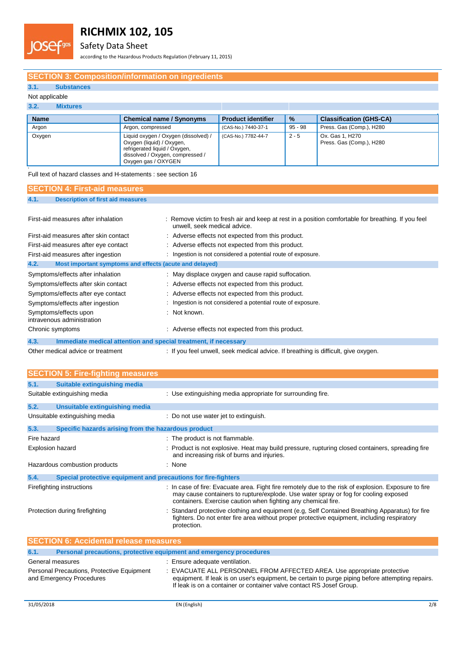

Safety Data Sheet

according to the Hazardous Products Regulation (February 11, 2015)

## **SECTION 3: Composition/information on ingredients**

## **3.1. Substances**

### Not applicable

# **3.2. Mixtures**

**s**

| <b>Name</b> | <b>Chemical name / Synonyms</b>                                                                                                                               | <b>Product identifier</b> | $\%$    | <b>Classification (GHS-CA)</b>              |
|-------------|---------------------------------------------------------------------------------------------------------------------------------------------------------------|---------------------------|---------|---------------------------------------------|
| Argon       | Argon, compressed                                                                                                                                             | (CAS-No.) 7440-37-1       | 95 - 98 | Press. Gas (Comp.), H280                    |
| Oxygen      | Liquid oxygen / Oxygen (dissolved) /<br>Oxygen (liquid) / Oxygen,<br>refrigerated liquid / Oxygen,<br>dissolved / Oxygen, compressed /<br>Oxygen gas / OXYGEN | (CAS-No.) 7782-44-7       | $2 - 5$ | Ox. Gas 1, H270<br>Press. Gas (Comp.), H280 |

Full text of hazard classes and H-statements : see section 16

| <b>SECTION 4: First-aid measures</b>                                    |                                                                                                                                    |
|-------------------------------------------------------------------------|------------------------------------------------------------------------------------------------------------------------------------|
| 4.1.<br><b>Description of first aid measures</b>                        |                                                                                                                                    |
|                                                                         |                                                                                                                                    |
| First-aid measures after inhalation                                     | : Remove victim to fresh air and keep at rest in a position comfortable for breathing. If you feel<br>unwell, seek medical advice. |
| First-aid measures after skin contact                                   | : Adverse effects not expected from this product.                                                                                  |
| First-aid measures after eye contact                                    | : Adverse effects not expected from this product.                                                                                  |
| First-aid measures after ingestion                                      | : Ingestion is not considered a potential route of exposure.                                                                       |
| 4.2.<br>Most important symptoms and effects (acute and delayed)         |                                                                                                                                    |
| Symptoms/effects after inhalation                                       | : May displace oxygen and cause rapid suffocation.                                                                                 |
| Symptoms/effects after skin contact                                     | : Adverse effects not expected from this product.                                                                                  |
| Symptoms/effects after eye contact                                      | : Adverse effects not expected from this product.                                                                                  |
| Symptoms/effects after ingestion                                        | : Ingestion is not considered a potential route of exposure.                                                                       |
| Symptoms/effects upon<br>intravenous administration                     | : Not known.                                                                                                                       |
| Chronic symptoms                                                        | : Adverse effects not expected from this product.                                                                                  |
| 4.3.<br>Immediate medical attention and special treatment, if necessary |                                                                                                                                    |

Other medical advice or treatment : If you feel unwell, seek medical advice. If breathing is difficult, give oxygen.

|             | <b>SECTION 5: Fire-fighting measures</b>                               |                                                                                                                                                                                                                                                              |
|-------------|------------------------------------------------------------------------|--------------------------------------------------------------------------------------------------------------------------------------------------------------------------------------------------------------------------------------------------------------|
| 5.1.        | Suitable extinguishing media                                           |                                                                                                                                                                                                                                                              |
|             | Suitable extinguishing media                                           | : Use extinguishing media appropriate for surrounding fire.                                                                                                                                                                                                  |
| 5.2.        | Unsuitable extinguishing media                                         |                                                                                                                                                                                                                                                              |
|             | Unsuitable extinguishing media                                         | : Do not use water jet to extinguish.                                                                                                                                                                                                                        |
| 5.3.        | Specific hazards arising from the hazardous product                    |                                                                                                                                                                                                                                                              |
| Fire hazard |                                                                        | : The product is not flammable.                                                                                                                                                                                                                              |
|             | <b>Explosion hazard</b>                                                | Product is not explosive. Heat may build pressure, rupturing closed containers, spreading fire<br>and increasing risk of burns and injuries.                                                                                                                 |
|             | Hazardous combustion products                                          | : None                                                                                                                                                                                                                                                       |
| 5.4.        | Special protective equipment and precautions for fire-fighters         |                                                                                                                                                                                                                                                              |
|             | Firefighting instructions                                              | : In case of fire: Evacuate area. Fight fire remotely due to the risk of explosion. Exposure to fire<br>may cause containers to rupture/explode. Use water spray or fog for cooling exposed<br>containers. Exercise caution when fighting any chemical fire. |
|             | Protection during firefighting                                         | Standard protective clothing and equipment (e.g. Self Contained Breathing Apparatus) for fire<br>fighters. Do not enter fire area without proper protective equipment, including respiratory<br>protection.                                                  |
|             | <b>SECTION 6: Accidental release measures</b>                          |                                                                                                                                                                                                                                                              |
| 6.1.        |                                                                        | Personal precautions, protective equipment and emergency procedures                                                                                                                                                                                          |
|             | General measures                                                       | : Ensure adequate ventilation.                                                                                                                                                                                                                               |
|             | Personal Precautions, Protective Equipment<br>and Emergency Procedures | EVACUATE ALL PERSONNEL FROM AFFECTED AREA. Use appropriate protective<br>equipment. If leak is on user's equipment, be certain to purge piping before attempting repairs.<br>If leak is on a container or container valve contact RS Josef Group.            |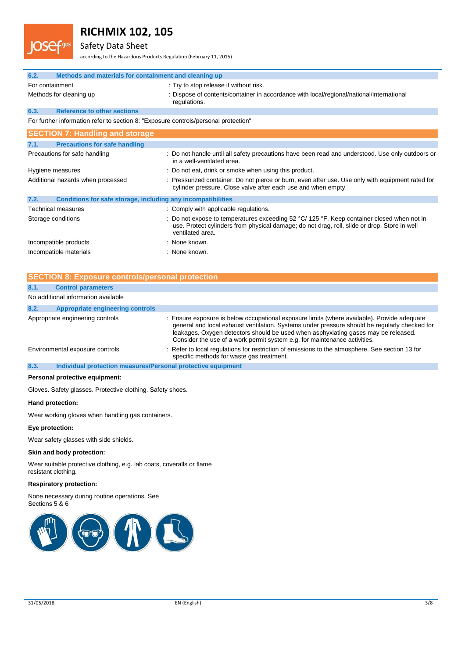# Safety Data Sheet

according to the Hazardous Products Regulation (February 11, 2015)

| 6.2.                                                                                | Methods and materials for containment and cleaning up                                                                                                                                                        |  |  |
|-------------------------------------------------------------------------------------|--------------------------------------------------------------------------------------------------------------------------------------------------------------------------------------------------------------|--|--|
| For containment                                                                     | : Try to stop release if without risk.                                                                                                                                                                       |  |  |
| Methods for cleaning up                                                             | : Dispose of contents/container in accordance with local/regional/national/international<br>regulations.                                                                                                     |  |  |
| <b>Reference to other sections</b><br>6.3.                                          |                                                                                                                                                                                                              |  |  |
| For further information refer to section 8: "Exposure controls/personal protection" |                                                                                                                                                                                                              |  |  |
| <b>SECTION 7: Handling and storage</b>                                              |                                                                                                                                                                                                              |  |  |
| <b>Precautions for safe handling</b><br>7.1.                                        |                                                                                                                                                                                                              |  |  |
| Precautions for safe handling                                                       | : Do not handle until all safety precautions have been read and understood. Use only outdoors or<br>in a well-ventilated area.                                                                               |  |  |
| Hygiene measures                                                                    | : Do not eat, drink or smoke when using this product.                                                                                                                                                        |  |  |
| Additional hazards when processed                                                   | : Pressurized container: Do not pierce or burn, even after use. Use only with equipment rated for<br>cylinder pressure. Close valve after each use and when empty.                                           |  |  |
| 7.2.<br>Conditions for safe storage, including any incompatibilities                |                                                                                                                                                                                                              |  |  |
| Technical measures                                                                  | : Comply with applicable regulations.                                                                                                                                                                        |  |  |
| Storage conditions                                                                  | Do not expose to temperatures exceeding 52 °C/ 125 °F. Keep container closed when not in<br>use. Protect cylinders from physical damage; do not drag, roll, slide or drop. Store in well<br>ventilated area. |  |  |
| Incompatible products                                                               | : None known.                                                                                                                                                                                                |  |  |
| Incompatible materials                                                              | : None known.                                                                                                                                                                                                |  |  |

|      | <b>SECTION 8: Exposure controls/personal protection</b>      |                                                                                                                                                                                                                                                                                                                                                                 |
|------|--------------------------------------------------------------|-----------------------------------------------------------------------------------------------------------------------------------------------------------------------------------------------------------------------------------------------------------------------------------------------------------------------------------------------------------------|
| 8.1. | <b>Control parameters</b>                                    |                                                                                                                                                                                                                                                                                                                                                                 |
|      | No additional information available                          |                                                                                                                                                                                                                                                                                                                                                                 |
| 8.2. | <b>Appropriate engineering controls</b>                      |                                                                                                                                                                                                                                                                                                                                                                 |
|      | Appropriate engineering controls                             | : Ensure exposure is below occupational exposure limits (where available). Provide adequate<br>general and local exhaust ventilation. Systems under pressure should be regularly checked for<br>leakages. Oxygen detectors should be used when asphyxiating gases may be released.<br>Consider the use of a work permit system e.g. for maintenance activities. |
|      | Environmental exposure controls                              | : Refer to local regulations for restriction of emissions to the atmosphere. See section 13 for<br>specific methods for waste gas treatment.                                                                                                                                                                                                                    |
| 8.3. | Individual protection measures/Personal protective equipment |                                                                                                                                                                                                                                                                                                                                                                 |

#### **Personal protective equipment:**

Gloves. Safety glasses. Protective clothing. Safety shoes.

#### **Hand protection:**

Wear working gloves when handling gas containers.

#### **Eye protection:**

Wear safety glasses with side shields.

#### **Skin and body protection:**

Wear suitable protective clothing, e.g. lab coats, coveralls or flame resistant clothing.

#### **Respiratory protection:**

None necessary during routine operations. See Sections 5 & 6

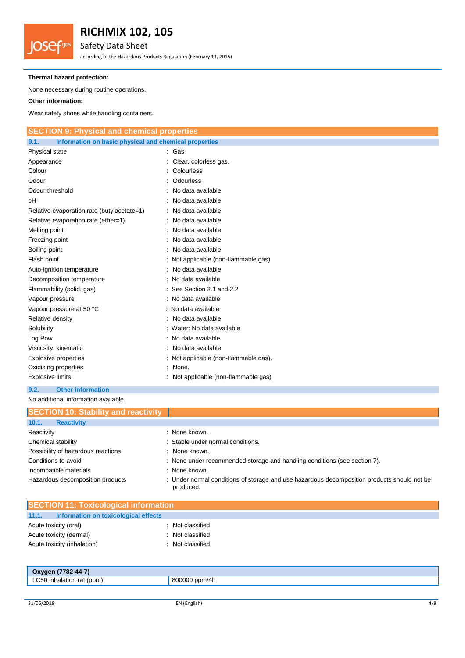# Safety Data Sheet

according to the Hazardous Products Regulation (February 11, 2015)

## **Thermal hazard protection:**

None necessary during routine operations.

## **Other information:**

**JOSefgas** 

Wear safety shoes while handling containers.

| <b>SECTION 9: Physical and chemical properties</b>            |                                       |  |
|---------------------------------------------------------------|---------------------------------------|--|
| 9.1.<br>Information on basic physical and chemical properties |                                       |  |
| Physical state                                                | : Gas                                 |  |
| Appearance                                                    | : Clear, colorless gas.               |  |
| Colour                                                        | Colourless                            |  |
| Odour                                                         | Odourless                             |  |
| Odour threshold                                               | No data available                     |  |
| рH                                                            | No data available                     |  |
| Relative evaporation rate (butylacetate=1)                    | : No data available                   |  |
| Relative evaporation rate (ether=1)                           | No data available                     |  |
| Melting point                                                 | No data available                     |  |
| Freezing point                                                | No data available                     |  |
| Boiling point                                                 | No data available                     |  |
| Flash point                                                   | : Not applicable (non-flammable gas)  |  |
| Auto-ignition temperature                                     | No data available                     |  |
| Decomposition temperature                                     | : No data available                   |  |
| Flammability (solid, gas)                                     | See Section 2.1 and 2.2               |  |
| Vapour pressure                                               | : No data available                   |  |
| Vapour pressure at 50 °C                                      | : No data available                   |  |
| Relative density                                              | No data available                     |  |
| Solubility                                                    | : Water: No data available            |  |
| Log Pow                                                       | : No data available                   |  |
| Viscosity, kinematic                                          | No data available                     |  |
| <b>Explosive properties</b>                                   | : Not applicable (non-flammable gas). |  |
| Oxidising properties                                          | : None.                               |  |
| <b>Explosive limits</b>                                       | Not applicable (non-flammable gas)    |  |

# **9.2. Other information**

No additional information available

| <b>SECTION 10: Stability and reactivity</b> |                                                                                                             |
|---------------------------------------------|-------------------------------------------------------------------------------------------------------------|
| 10.1.<br><b>Reactivity</b>                  |                                                                                                             |
| Reactivity                                  | : None known.                                                                                               |
| Chemical stability                          | : Stable under normal conditions.                                                                           |
| Possibility of hazardous reactions          | : None known.                                                                                               |
| Conditions to avoid                         | : None under recommended storage and handling conditions (see section 7).                                   |
| Incompatible materials                      | : None known.                                                                                               |
| Hazardous decomposition products            | Under normal conditions of storage and use hazardous decomposition products should not be<br>÷<br>produced. |

| <b>SECTION 11: Toxicological information</b>  |                |  |
|-----------------------------------------------|----------------|--|
| 11.1.<br>Information on toxicological effects |                |  |
| Acute toxicity (oral)                         | Not classified |  |
| Acute toxicity (dermal)                       | Not classified |  |
| Acute toxicity (inhalation)                   | Not classified |  |
|                                               |                |  |
|                                               |                |  |

| Oxygen (7782-44-7)        |               |
|---------------------------|---------------|
| LC50 inhalation rat (ppm) | 800000 ppm/4h |
|                           |               |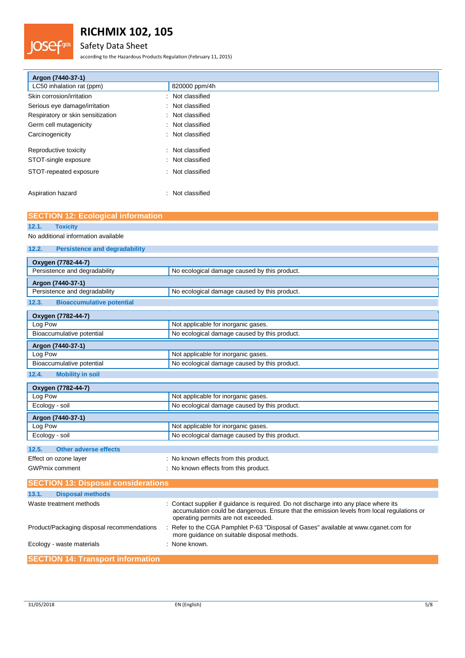# Safety Data Sheet

.gas

according to the Hazardous Products Regulation (February 11, 2015)

| Argon (7440-37-1)                 |                  |
|-----------------------------------|------------------|
| LC50 inhalation rat (ppm)         | 820000 ppm/4h    |
| Skin corrosion/irritation<br>÷    | Not classified   |
| Serious eye damage/irritation     | : Not classified |
| Respiratory or skin sensitization | : Not classified |
| Germ cell mutagenicity<br>÷       | Not classified   |
| Carcinogenicity<br>÷              | Not classified   |
| Reproductive toxicity<br>÷        | Not classified   |
| STOT-single exposure              | : Not classified |
| STOT-repeated exposure<br>÷       | Not classified   |
| Aspiration hazard<br>٠            | Not classified   |

# **SECTION 12: Ecological information**

# **12.1. Toxicity**

No additional information available

| <b>Persistence and degradability</b><br>12.2. |                                              |
|-----------------------------------------------|----------------------------------------------|
| Oxygen (7782-44-7)                            |                                              |
| Persistence and degradability                 | No ecological damage caused by this product. |
| Argon (7440-37-1)                             |                                              |
| Persistence and degradability                 | No ecological damage caused by this product. |
| <b>Bioaccumulative potential</b><br>12.3.     |                                              |
| Oxygen (7782-44-7)                            |                                              |
| Log Pow                                       | Not applicable for inorganic gases.          |
| Bioaccumulative potential                     | No ecological damage caused by this product. |
| Argon (7440-37-1)                             |                                              |
| Log Pow                                       | Not applicable for inorganic gases.          |
| Bioaccumulative potential                     | No ecological damage caused by this product. |
| <b>Mobility in soil</b><br>12.4.              |                                              |
| Oxygen (7782-44-7)                            |                                              |
| Log Pow                                       | Not applicable for inorganic gases.          |
| Ecology - soil                                | No ecological damage caused by this product. |
| Argon (7440-37-1)                             |                                              |
| Log Pow                                       | Not applicable for inorganic gases.          |

# **12.5. Other adverse effects**

| Effect on ozone layer | : No known effects from this product. |
|-----------------------|---------------------------------------|
| GWPmix comment        | : No known effects from this product. |

Ecology - soil **Ecological damage caused by this product.** 

| <b>SECTION 13: Disposal considerations</b> |                                                                                                                                                                                                                            |
|--------------------------------------------|----------------------------------------------------------------------------------------------------------------------------------------------------------------------------------------------------------------------------|
| 13.1.<br><b>Disposal methods</b>           |                                                                                                                                                                                                                            |
| Waste treatment methods                    | : Contact supplier if quidance is required. Do not discharge into any place where its<br>accumulation could be dangerous. Ensure that the emission levels from local regulations or<br>operating permits are not exceeded. |
| Product/Packaging disposal recommendations | : Refer to the CGA Pamphlet P-63 "Disposal of Gases" available at www.cganet.com for<br>more quidance on suitable disposal methods.                                                                                        |
| Ecology - waste materials                  | : None known.                                                                                                                                                                                                              |
| <b>SECTION 14: Transport information</b>   |                                                                                                                                                                                                                            |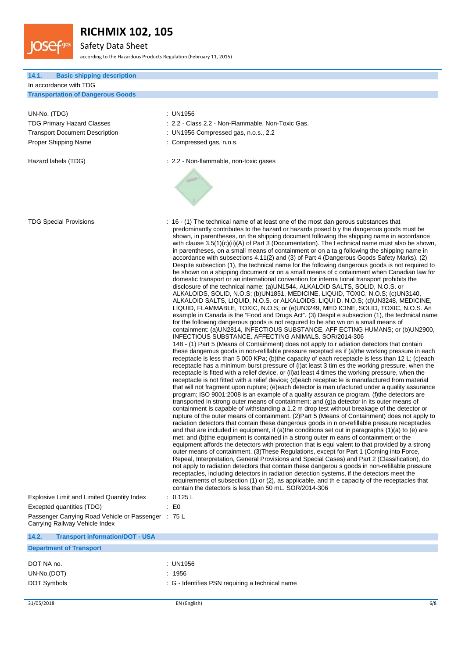

Safety Data Sheet

according to the Hazardous Products Regulation (February 11, 2015)

## **14.1. Basic shipping description** In accordance with TDG **Transportation of Dangerous Goods** UN-No. (TDG) : UN1956 TDG Primary Hazard Classes : 2.2 - Class 2.2 - Non-Flammable, Non-Toxic Gas. Transport Document Description : UN1956 Compressed gas, n.o.s., 2.2 Proper Shipping Name : Compressed gas, n.o.s. Hazard labels (TDG)  $\qquad \qquad$  : 2.2 - Non-flammable, non-toxic gases TDG Special Provisions : 16 - (1) The technical name of at least one of the most dan gerous substances that predominantly contributes to the hazard or hazards posed b y the dangerous goods must be shown, in parentheses, on the shipping document following the shipping name in accordance with clause 3.5(1)(c)(ii)(A) of Part 3 (Documentation). The t echnical name must also be shown, in parentheses, on a small means of containment or on a ta g following the shipping name in accordance with subsections 4.11(2) and (3) of Part 4 (Dangerous Goods Safety Marks). (2) Despite subsection (1), the technical name for the following dangerous goods is not required to be shown on a shipping document or on a small means of c ontainment when Canadian law for domestic transport or an international convention for interna tional transport prohibits the disclosure of the technical name: (a)UN1544, ALKALOID SALTS, SOLID, N.O.S. or ALKALOIDS, SOLID, N.O.S; (b)UN1851, MEDICINE, LIQUID, TOXIC, N.O.S; (c)UN3140, ALKALOID SALTS, LIQUID, N.O.S. or ALKALOIDS, LIQUI D, N.O.S; (d)UN3248, MEDICINE, LIQUID, FLAMMABLE, TOXIC, N.O.S; or (e)UN3249, MED ICINE, SOLID, TOXIC, N.O.S. An example in Canada is the "Food and Drugs Act". (3) Despit e subsection (1), the technical name for the following dangerous goods is not required to be sho wn on a small means of containment: (a)UN2814, INFECTIOUS SUBSTANCE, AFF ECTING HUMANS; or (b)UN2900, INFECTIOUS SUBSTANCE, AFFECTING ANIMALS. SOR/2014-306 148 - (1) Part 5 (Means of Containment) does not apply to r adiation detectors that contain these dangerous goods in non-refillable pressure receptacl es if (a)the working pressure in each receptacle is less than 5 000 KPa; (b)the capacity of each receptacle is less than 12 L; (c)each receptacle has a minimum burst pressure of (i)at least 3 tim es the working pressure, when the receptacle is fitted with a relief device, or (ii)at least 4 times the working pressure, when the receptacle is not fitted with a relief device; (d)each receptac le is manufactured from material that will not fragment upon rupture; (e)each detector is man ufactured under a quality assurance program; ISO 9001:2008 is an example of a quality assuran ce program. (f)the detectors are transported in strong outer means of containment; and (g)a detector in its outer means of containment is capable of withstanding a 1.2 m drop test without breakage of the detector or rupture of the outer means of containment. (2)Part 5 (Means of Containment) does not apply to radiation detectors that contain these dangerous goods in n on-refillable pressure receptacles and that are included in equipment, if (a)the conditions set out in paragraphs (1)(a) to (e) are met; and (b)the equipment is contained in a strong outer m eans of containment or the equipment affords the detectors with protection that is equi valent to that provided by a strong outer means of containment. (3)These Regulations, except for Part 1 (Coming into Force, Repeal, Interpretation, General Provisions and Special Cases) and Part 2 (Classification), do not apply to radiation detectors that contain these dangerou s goods in non-refillable pressure receptacles, including detectors in radiation detection systems, if the detectors meet the requirements of subsection (1) or (2), as applicable, and th e capacity of the receptacles that contain the detectors is less than 50 mL. SOR/2014-306 Explosive Limit and Limited Quantity Index : 0.125 L Excepted quantities (TDG) : E0 Passenger Carrying Road Vehicle or Passenger : 75 L Carrying Railway Vehicle Index

#### **14.2. Transport information/DOT - USA**

#### **Department of Transport**

| DOT NA no.  | : UN1956                                        |
|-------------|-------------------------------------------------|
| UN-No.(DOT) | : 1956                                          |
| DOT Symbols | : G - Identifies PSN requiring a technical name |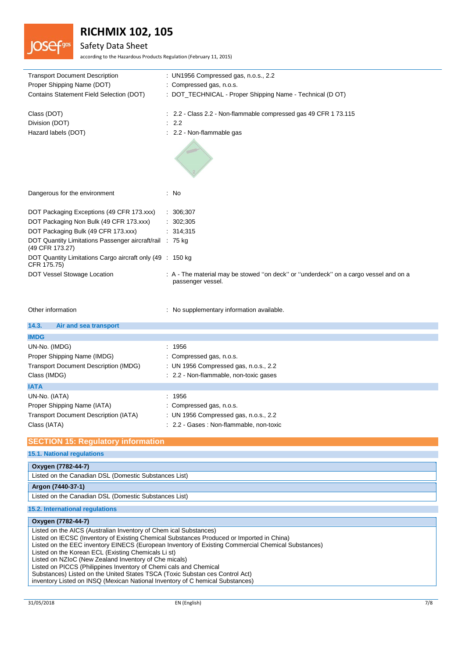# Safety Data Sheet

according to the Hazardous Products Regulation (February 11, 2015)

| <b>Transport Document Description</b>                                       | : UN1956 Compressed gas, n.o.s., 2.2                                                                      |
|-----------------------------------------------------------------------------|-----------------------------------------------------------------------------------------------------------|
| Proper Shipping Name (DOT)                                                  | : Compressed gas, n.o.s.                                                                                  |
| Contains Statement Field Selection (DOT)                                    | : DOT_TECHNICAL - Proper Shipping Name - Technical (D OT)                                                 |
| Class (DOT)                                                                 | $\therefore$ 2.2 - Class 2.2 - Non-flammable compressed gas 49 CFR 1 73.115                               |
| Division (DOT)                                                              | 2.2                                                                                                       |
| Hazard labels (DOT)                                                         | : 2.2 - Non-flammable gas                                                                                 |
|                                                                             |                                                                                                           |
| Dangerous for the environment                                               | : No                                                                                                      |
| DOT Packaging Exceptions (49 CFR 173.xxx)                                   | : 306;307                                                                                                 |
| DOT Packaging Non Bulk (49 CFR 173.xxx)                                     | : 302;305                                                                                                 |
| DOT Packaging Bulk (49 CFR 173.xxx)                                         | : 314,315                                                                                                 |
| DOT Quantity Limitations Passenger aircraft/rail : 75 kg<br>(49 CFR 173.27) |                                                                                                           |
| DOT Quantity Limitations Cargo aircraft only (49 : 150 kg<br>CFR 175.75)    |                                                                                                           |
| DOT Vessel Stowage Location                                                 | : A - The material may be stowed "on deck" or "underdeck" on a cargo vessel and on a<br>passenger vessel. |
| Other information                                                           | : No supplementary information available.                                                                 |
| 14.3.<br>Air and sea transport                                              |                                                                                                           |
| <b>IMDG</b>                                                                 |                                                                                                           |
| UN-No. (IMDG)                                                               | : 1956                                                                                                    |
| Proper Shipping Name (IMDG)                                                 | Compressed gas, n.o.s.                                                                                    |
| Transport Document Description (IMDG)                                       | : UN 1956 Compressed gas, n.o.s., 2.2                                                                     |
| Class (IMDG)                                                                | : 2.2 - Non-flammable, non-toxic gases                                                                    |
| <b>IATA</b>                                                                 |                                                                                                           |
| UN-No. (IATA)                                                               | : 1956                                                                                                    |
| Proper Shipping Name (IATA)                                                 | : Compressed gas, n.o.s.                                                                                  |
| Transport Document Description (IATA)                                       | : UN 1956 Compressed gas, n.o.s., 2.2                                                                     |
| Class (IATA)                                                                | : 2.2 - Gases : Non-flammable, non-toxic                                                                  |
| <b>SECTION 15: Regulatory information</b>                                   |                                                                                                           |
| <b>15.1. National regulations</b>                                           |                                                                                                           |
| Oxygen (7782-44-7)                                                          |                                                                                                           |

Listed on the Canadian DSL (Domestic Substances List) **Argon (7440-37-1)**

Listed on the Canadian DSL (Domestic Substances List)

### **15.2. International regulations**

### **Oxygen (7782-44-7)**

Listed on the AICS (Australian Inventory of Chem ical Substances) Listed on IECSC (Inventory of Existing Chemical Substances Produced or Imported in China) Listed on the EEC inventory EINECS (European Inventory of Existing Commercial Chemical Substances) Listed on the Korean ECL (Existing Chemicals Li st) Listed on NZIoC (New Zealand Inventory of Che micals) Listed on PICCS (Philippines Inventory of Chemi cals and Chemical Substances) Listed on the United States TSCA (Toxic Substan ces Control Act) inventory Listed on INSQ (Mexican National Inventory of C hemical Substances)